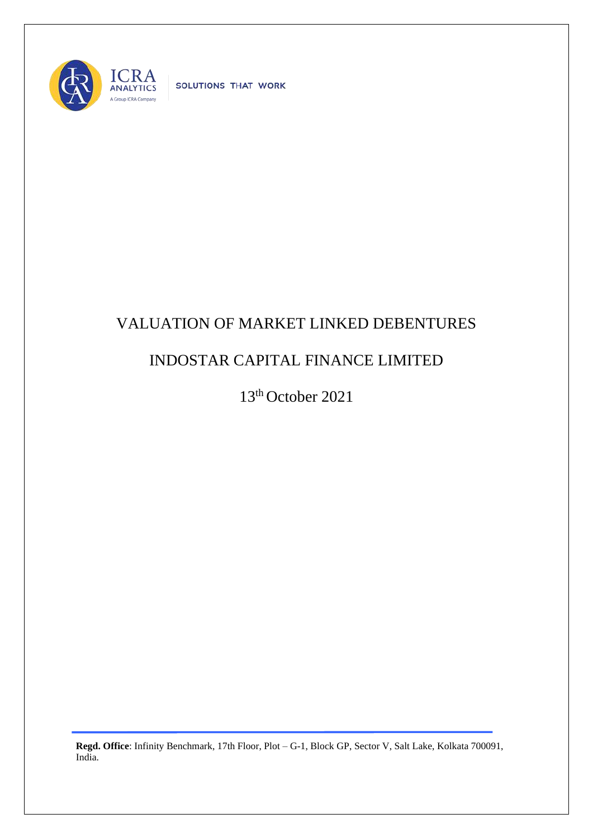

SOLUTIONS THAT WORK

## VALUATION OF MARKET LINKED DEBENTURES

## INDOSTAR CAPITAL FINANCE LIMITED

13th October 2021

**Regd. Office**: Infinity Benchmark, 17th Floor, Plot – G-1, Block GP, Sector V, Salt Lake, Kolkata 700091, India.